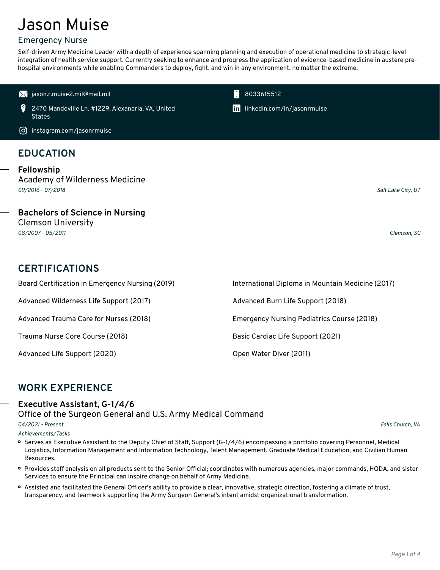# Jason Muise

### Emergency Nurse

Self-driven Army Medicine Leader with a depth of experience spanning planning and execution of operational medicine to strategic-level integration of health service support. Currently seeking to enhance and progress the application of evidence-based medicine in austere pre hospital environments while enabling Commanders to deploy, fight, and win in any environment, no matter the extreme.

 $\blacksquare$  [jason.r.muise2.mil@mail.mil](mailto:jason.r.muise2.mil@mail.mil) 8033615512

0 2470 Mandeville Ln. #1229, Alexandria, VA, United **States** 

[instagram.com/jasonrmuise](https://instagram.com/jasonrmuise)

# **EDUCATION**

**Fellowship** Academy of Wilderness Medicine *09/2016 -07/2018*, *Salt Lake City, UT*

**Bachelors of Science in Nursing** Clemson University

*08/2007 - 05/2011*, *Clemson, SC*

# **CERTIFICATIONS**

Advanced Wilderness Life Support (2017) Advanced Burn Life Support (2018)

Advanced Life Support (2020) Open Water Diver (2011)

Board Certification in Emergency Nursing (2019) International Diploma in Mountain Medicine (2017) Advanced Trauma Care for Nurses (2018) Emergency Nursing Pediatrics Course (2018) Trauma Nurse Core Course (2018) Basic Cardiac Life Support (2021)

### **WORK EXPERIENCE**

#### **Executive Assistant, G-1/4/6**

Office of the Surgeon General and U.S. Army Medical Command

*04/2021 - Present*, *Falls Church, VA*

*Achievements/Tasks*

Serves as Executive Assistant to the Deputy Chief of Staff, Support (G-1/4/6) encompassing a portfolio covering Personnel, Medical Logistics, Information Management and Information Technology, Talent Management, Graduate Medical Education, and Civilian Human Resources.

- Provides staff analysis on all products sent to the Senior Official; coordinates with numerous agencies, major commands, HQDA, and sister Services to ensure the Principal can inspire change on behalf of Army Medicine.
- Assisted and facilitated the General Officer's ability to provide a clear, innovative, strategic direction, fostering a climate of trust, transparency, and teamwork supporting the Army Surgeon General's intent amidst organizational transformation.

in [linkedin.com/in/jasonrmuise](https://www.linkedin.com/in/jasonrmuise)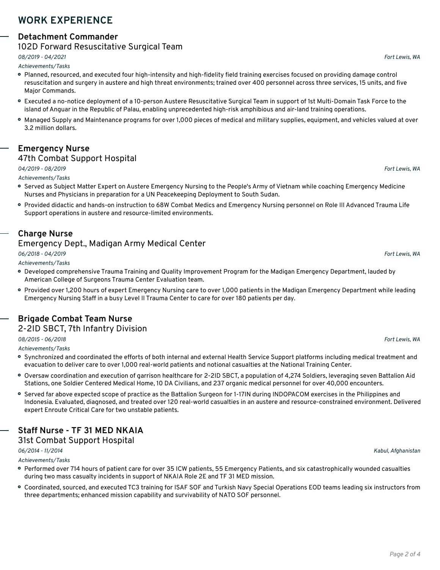## **WORK EXPERIENCE**

#### **Detachment Commander**

#### 102D Forward Resuscitative Surgical Team

*08/2019 -04/2021*, *Fort Lewis, WA*

*Achievements/Tasks*

- Planned, resourced, and executed four high-intensity and high-fidelity field training exercises focused on providing damage control resuscitation and surgery in austere and high threat environments; trained over 400 personnel across three services, 15 units, and five Major Commands.
- Executed a no-notice deployment of a 10-person Austere Resuscitative Surgical Team in support of 1st Multi-Domain Task Force to the island of Anguar in the Republic of Palau, enabling unprecedented high-risk amphibious and air-land training operations.
- Managed Supply and Maintenance programs for over 1,000 pieces of medical and military supplies, equipment, and vehicles valued at over 3.2 million dollars.

# **Emergency Nurse**

#### 47th Combat Support Hospital

#### *04/2019 -08/2019*, *Fort Lewis, WA*

*Achievements/Tasks*

- Served as Subject Matter Expert on Austere Emergency Nursing to the People's Army of Vietnam while coaching Emergency Medicine Nurses and Physicians in preparation for a UN Peacekeeping Deployment to South Sudan.
- Provided didactic and hands-on instruction to 68W Combat Medics and Emergency Nursing personnel on Role III Advanced Trauma Life Support operations in austere and resource-limited environments.

### **Charge Nurse**

#### Emergency Dept., Madigan Army Medical Center

*06/2018 -04/2019*, *Fort Lewis, WA*

*Achievements/Tasks*

- Developed comprehensive Trauma Training and Quality Improvement Program forthe Madigan Emergency Department, lauded by American College of Surgeons Trauma Center Evaluation team.
- Provided over 1,200 hours of expert Emergency Nursing care to over 1,000 patients in the Madigan Emergency Department while leading Emergency Nursing Staff in a busy Level II Trauma Center to care for over 180 patients per day.

### **Brigade Combat Team Nurse**

#### 2-2ID SBCT, 7th Infantry Division

*08/2015 - 06/2018*, *Fort Lewis, WA*

*Achievements/Tasks*

- Synchronized and coordinated the efforts of both internal and external Health Service Support platforms including medical treatment and evacuation to deliver care to over 1,000 real-world patients and notional casualties at the National Training Center.
- Oversaw coordination and execution of garrison healthcare for 2-2ID SBCT, a population of 4,274 Soldiers, leveraging seven Battalion Aid Stations, one Soldier Centered Medical Home, 10 DA Civilians, and 237 organic medical personnel for over 40,000 encounters.
- Served far above expected scope of practice as the Battalion Surgeon for 1-17IN during INDOPACOM exercises in the Philippines and Indonesia. Evaluated, diagnosed, and treated over 120 real-world casualties in an austere and resource-constrained environment. Delivered expert Enroute Critical Care for two unstable patients.

### **Staff Nurse - TF 31 MED NKAIA**

#### 31st Combat Support Hospital

*06/2014 -11/2014*, *Kabul, Afghanistan*

*Achievements/Tasks*

- Performed over 714 hours of patient care for over 35 ICW patients, 55 Emergency Patients, and six catastrophically wounded casualties during two mass casualty incidents in support of NKAIA Role 2E and TF 31 MED mission.
- Coordinated, sourced, and executed TC3 training for ISAF SOF and Turkish Navy Special Operations EOD teams leading six instructors from three departments; enhanced mission capability and survivability of NATO SOF personnel.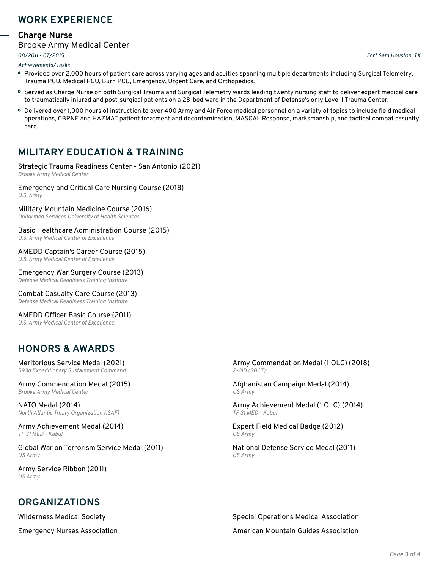### **WORK EXPERIENCE**

#### **Charge Nurse**

#### Brooke Army Medical Center

*08/2011 - 07/2015*, *Fort Sam Houston, TX*

*Achievements/Tasks*

- Provided over 2,000 hours of patient care across varying ages and acuities spanning multiple departments including Surgical Telemetry, Trauma PCU, Medical PCU, Burn PCU, Emergency, Urgent Care, and Orthopedics.
- Served as Charge Nurse on both Surgical Trauma and Surgical Telemetry wards leading twenty nursing staff to deliver expert medical care to traumatically injured and post-surgical patients on a 28-bed ward in the Department of Defense's only Level I Trauma Center.
- Delivered over 1,000 hours of instruction to over 400 Army and Air Force medical personnel on a variety of topics to include field medical operations, CBRNE and HAZMAT patient treatment and decontamination, MASCAL Response, marksmanship, and tactical combat casualty care.

# **MILITARY EDUCATION & TRAINING**

#### Strategic Trauma Readiness Center - San Antonio (2021) *Brooke Army Medical Center*

Emergency and Critical Care Nursing Course (2018)

*U.S. Army*

Military Mountain Medicine Course (2016)

*Uniformed Services University of Health Sciences*

Basic Healthcare Administration Course (2015)

*U.S. Army Medical Center of Excellence*

AMEDD Captain's Career Course (2015)

*U.S. Army Medical Center of Excellence*

Emergency War Surgery Course (2013) *Defense Medical Readiness Training Institute*

Combat Casualty Care Course (2013) *Defense Medical Readiness Training Institute*

AMEDD Officer Basic Course (2011) *U.S. Army Medical Center of Excellence*

# **HONORS & AWARDS**

Meritorious Service Medal (2021) *593d Expeditionary Sustainment Command*

Army Commendation Medal (2015)<br>Brooke Army Medical Center

NATO Medal (2014) *North Atlantic Treaty Organization (ISAF)*

Army Achievement Medal (2014) *TF 31 MED - Kabul*

Global War on Terrorism Service Medal (2011) *US Army*

Army Service Ribbon (2011) *US Army*

# **ORGANIZATIONS**

Army Commendation Medal (1 OLC) (2018) *2-2ID (SBCT)*

*Brooke Army Medical Center* Afghanistan Campaign Medal (2014) *US Army*

Army Achievement Medal (1 OLC) (2014) *TF 31 MED - Kabul*

Expert Field Medical Badge (2012) *US Army*

National Defense Service Medal (2011) *US Army*

Wilderness Medical Society Special Operations Medical Association Emergency Nurses Association American Mountain Guides Association